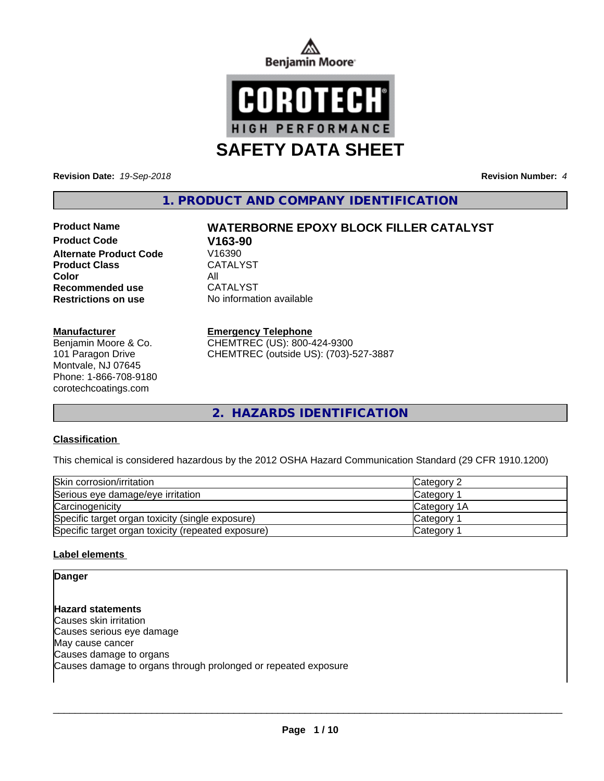



**Revision Date:** *19-Sep-2018* **Revision Number:** *4*

**1. PRODUCT AND COMPANY IDENTIFICATION**

# **Product Code V163-90 Alternate Product Code** Product Class CATALYST **Color**<br> **Recommended use** CATALYST **Recommended use Restrictions on use** No information available

#### **Manufacturer**

Benjamin Moore & Co. 101 Paragon Drive Montvale, NJ 07645 Phone: 1-866-708-9180 corotechcoatings.com

# **Product Name WATERBORNE EPOXY BLOCK FILLER CATALYST**

#### **Emergency Telephone**

CHEMTREC (US): 800-424-9300 CHEMTREC (outside US): (703)-527-3887

**2. HAZARDS IDENTIFICATION**

#### **Classification**

This chemical is considered hazardous by the 2012 OSHA Hazard Communication Standard (29 CFR 1910.1200)

| Skin corrosion/irritation                          | Category 2            |
|----------------------------------------------------|-----------------------|
| Serious eye damage/eye irritation                  | Category              |
| Carcinogenicity                                    | <b>Category 1A</b>    |
| Specific target organ toxicity (single exposure)   | Category <sup>2</sup> |
| Specific target organ toxicity (repeated exposure) | Category              |

#### **Label elements**

**Danger**

**Hazard statements** Causes skin irritation Causes serious eye damage May cause cancer Causes damage to organs Causes damage to organs through prolonged or repeated exposure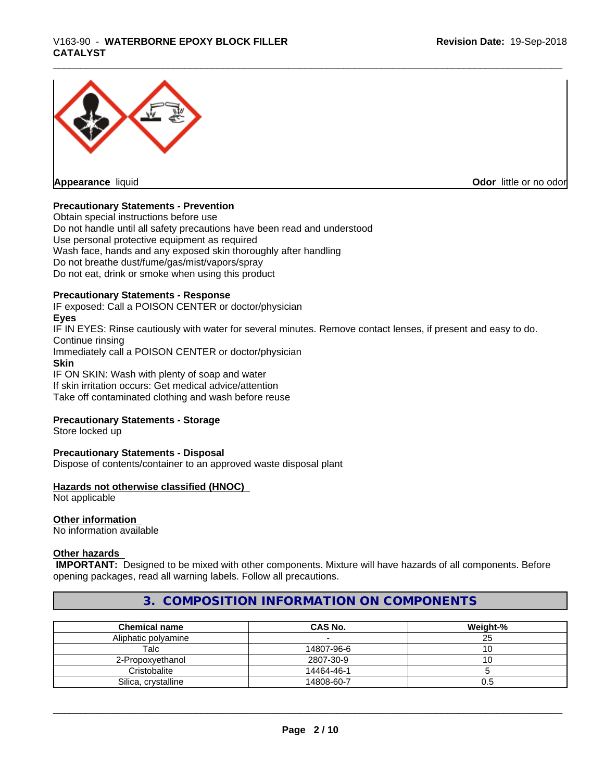# \_\_\_\_\_\_\_\_\_\_\_\_\_\_\_\_\_\_\_\_\_\_\_\_\_\_\_\_\_\_\_\_\_\_\_\_\_\_\_\_\_\_\_\_\_\_\_\_\_\_\_\_\_\_\_\_\_\_\_\_\_\_\_\_\_\_\_\_\_\_\_\_\_\_\_\_\_\_\_\_\_\_\_\_\_\_\_\_\_\_\_\_\_ V163-90 - **WATERBORNE EPOXY BLOCK FILLER CATALYST**



#### **Precautionary Statements - Prevention**

Obtain special instructions before use Do not handle until all safety precautions have been read and understood Use personal protective equipment as required Wash face, hands and any exposed skin thoroughly after handling Do not breathe dust/fume/gas/mist/vapors/spray Do not eat, drink or smoke when using this product

#### **Precautionary Statements - Response**

IF exposed: Call a POISON CENTER or doctor/physician **Eyes** IF IN EYES: Rinse cautiously with water for several minutes. Remove contact lenses, if present and easy to do. Continue rinsing Immediately call a POISON CENTER or doctor/physician **Skin** IF ON SKIN: Wash with plenty of soap and water

If skin irritation occurs: Get medical advice/attention Take off contaminated clothing and wash before reuse

#### **Precautionary Statements - Storage**

Store locked up

#### **Precautionary Statements - Disposal**

Dispose of contents/container to an approved waste disposal plant

#### **Hazards not otherwise classified (HNOC)**

Not applicable

### **Other information**

No information available

#### **Other hazards**

 **IMPORTANT:** Designed to be mixed with other components. Mixture will have hazards of all components. Before opening packages, read all warning labels. Follow all precautions.

# **3. COMPOSITION INFORMATION ON COMPONENTS**

| <b>Chemical name</b> | CAS No.    | Weight-% |
|----------------------|------------|----------|
| Aliphatic polyamine  |            | دے       |
| Talc                 | 14807-96-6 |          |
| 2-Propoxyethanol     | 2807-30-9  | ັ        |
| Cristobalite         | 14464-46-1 |          |
| Silica, crystalline  | 14808-60-7 | U.5      |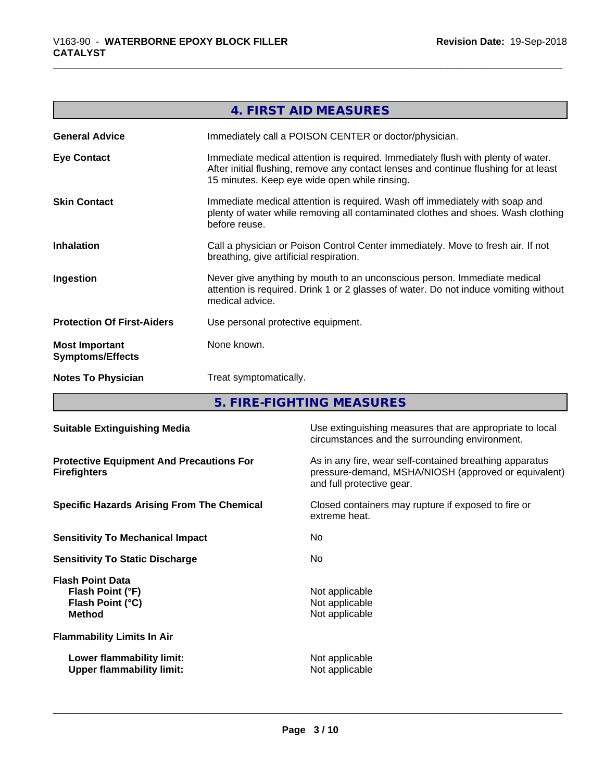|                                                  | 4. FIRST AID MEASURES                                                                                                                                                                                                     |
|--------------------------------------------------|---------------------------------------------------------------------------------------------------------------------------------------------------------------------------------------------------------------------------|
| <b>General Advice</b>                            | Immediately call a POISON CENTER or doctor/physician.                                                                                                                                                                     |
| <b>Eye Contact</b>                               | Immediate medical attention is required. Immediately flush with plenty of water.<br>After initial flushing, remove any contact lenses and continue flushing for at least<br>15 minutes. Keep eye wide open while rinsing. |
| <b>Skin Contact</b>                              | Immediate medical attention is required. Wash off immediately with soap and<br>plenty of water while removing all contaminated clothes and shoes. Wash clothing<br>before reuse.                                          |
| <b>Inhalation</b>                                | Call a physician or Poison Control Center immediately. Move to fresh air. If not<br>breathing, give artificial respiration.                                                                                               |
| Ingestion                                        | Never give anything by mouth to an unconscious person. Immediate medical<br>attention is required. Drink 1 or 2 glasses of water. Do not induce vomiting without<br>medical advice.                                       |
| <b>Protection Of First-Aiders</b>                | Use personal protective equipment.                                                                                                                                                                                        |
| <b>Most Important</b><br><b>Symptoms/Effects</b> | None known.                                                                                                                                                                                                               |
| <b>Notes To Physician</b>                        | Treat symptomatically.                                                                                                                                                                                                    |
|                                                  | E EIDE EICHTING MEACHDEC                                                                                                                                                                                                  |

**5. FIRE-FIGHTING MEASURES**

| <b>Suitable Extinguishing Media</b>                                              | Use extinguishing measures that are appropriate to local<br>circumstances and the surrounding environment.                                   |
|----------------------------------------------------------------------------------|----------------------------------------------------------------------------------------------------------------------------------------------|
| <b>Protective Equipment And Precautions For</b><br><b>Firefighters</b>           | As in any fire, wear self-contained breathing apparatus<br>pressure-demand, MSHA/NIOSH (approved or equivalent)<br>and full protective gear. |
| <b>Specific Hazards Arising From The Chemical</b>                                | Closed containers may rupture if exposed to fire or<br>extreme heat.                                                                         |
| <b>Sensitivity To Mechanical Impact</b>                                          | No.                                                                                                                                          |
| <b>Sensitivity To Static Discharge</b>                                           | No.                                                                                                                                          |
| <b>Flash Point Data</b><br>Flash Point (°F)<br>Flash Point (°C)<br><b>Method</b> | Not applicable<br>Not applicable<br>Not applicable                                                                                           |
| <b>Flammability Limits In Air</b>                                                |                                                                                                                                              |
| Lower flammability limit:<br><b>Upper flammability limit:</b>                    | Not applicable<br>Not applicable                                                                                                             |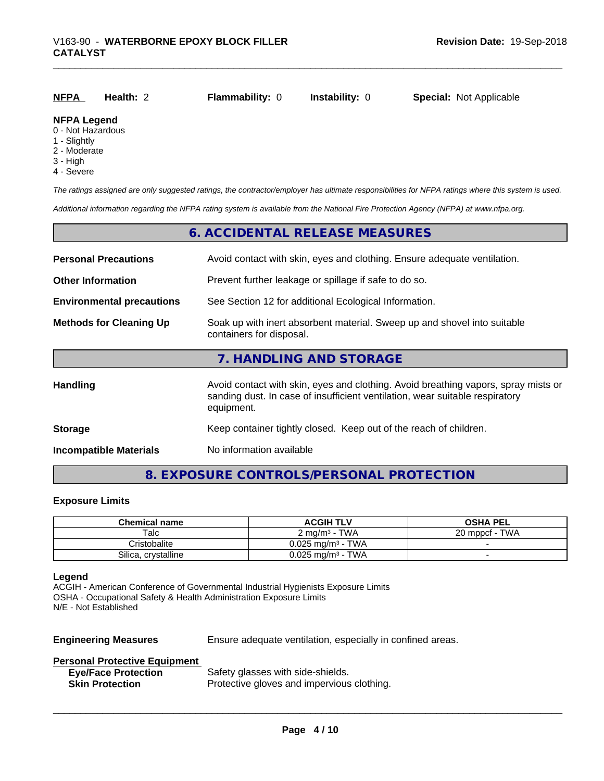| <b>NFPA</b>        | Health: 2 | <b>Flammability: 0</b> | <b>Instability: 0</b> | <b>Special: Not Applicable</b> |
|--------------------|-----------|------------------------|-----------------------|--------------------------------|
| <b>NFPA Legend</b> |           |                        |                       |                                |

#### 0 - Not Hazardous

- 1 Slightly
- 2 Moderate
- 3 High
- 4 Severe

*The ratings assigned are only suggested ratings, the contractor/employer has ultimate responsibilities for NFPA ratings where this system is used.*

*Additional information regarding the NFPA rating system is available from the National Fire Protection Agency (NFPA) at www.nfpa.org.*

#### **6. ACCIDENTAL RELEASE MEASURES**

| <b>Personal Precautions</b>      | Avoid contact with skin, eyes and clothing. Ensure adequate ventilation.                                                                                                         |
|----------------------------------|----------------------------------------------------------------------------------------------------------------------------------------------------------------------------------|
| <b>Other Information</b>         | Prevent further leakage or spillage if safe to do so.                                                                                                                            |
| <b>Environmental precautions</b> | See Section 12 for additional Ecological Information.                                                                                                                            |
| <b>Methods for Cleaning Up</b>   | Soak up with inert absorbent material. Sweep up and shovel into suitable<br>containers for disposal.                                                                             |
|                                  | 7. HANDLING AND STORAGE                                                                                                                                                          |
| <b>Handling</b>                  | Avoid contact with skin, eyes and clothing. Avoid breathing vapors, spray mists or<br>sanding dust. In case of insufficient ventilation, wear suitable respiratory<br>equipment. |
| <b>Storage</b>                   | Keep container tightly closed. Keep out of the reach of children.                                                                                                                |
| <b>Incompatible Materials</b>    | No information available                                                                                                                                                         |

#### **8. EXPOSURE CONTROLS/PERSONAL PROTECTION**

#### **Exposure Limits**

| <b>Chemical name</b> | <b>ACGIH TLV</b>                      | <b>OSHA PEL</b>     |
|----------------------|---------------------------------------|---------------------|
| Talc                 | $2 \text{ ma/m}^3$ - TWA              | · TWA<br>20 mppcf - |
| Cristobalite         | TWA<br>$0.025$ ma/m $^3$ - $^{\circ}$ |                     |
| Silica, crystalline  | TWA<br>$0.025$ mg/m <sup>3</sup> -    |                     |

#### **Legend**

ACGIH - American Conference of Governmental Industrial Hygienists Exposure Limits OSHA - Occupational Safety & Health Administration Exposure Limits N/E - Not Established

**Engineering Measures** Ensure adequate ventilation, especially in confined areas.

 $\overline{\phantom{a}}$  ,  $\overline{\phantom{a}}$  ,  $\overline{\phantom{a}}$  ,  $\overline{\phantom{a}}$  ,  $\overline{\phantom{a}}$  ,  $\overline{\phantom{a}}$  ,  $\overline{\phantom{a}}$  ,  $\overline{\phantom{a}}$  ,  $\overline{\phantom{a}}$  ,  $\overline{\phantom{a}}$  ,  $\overline{\phantom{a}}$  ,  $\overline{\phantom{a}}$  ,  $\overline{\phantom{a}}$  ,  $\overline{\phantom{a}}$  ,  $\overline{\phantom{a}}$  ,  $\overline{\phantom{a}}$ 

#### **Personal Protective Equipment**

| <b>Eye/Face Protectio</b> |  |
|---------------------------|--|
| <b>Skin Protection</b>    |  |

**Example 2** Safety glasses with side-shields. Protective gloves and impervious clothing.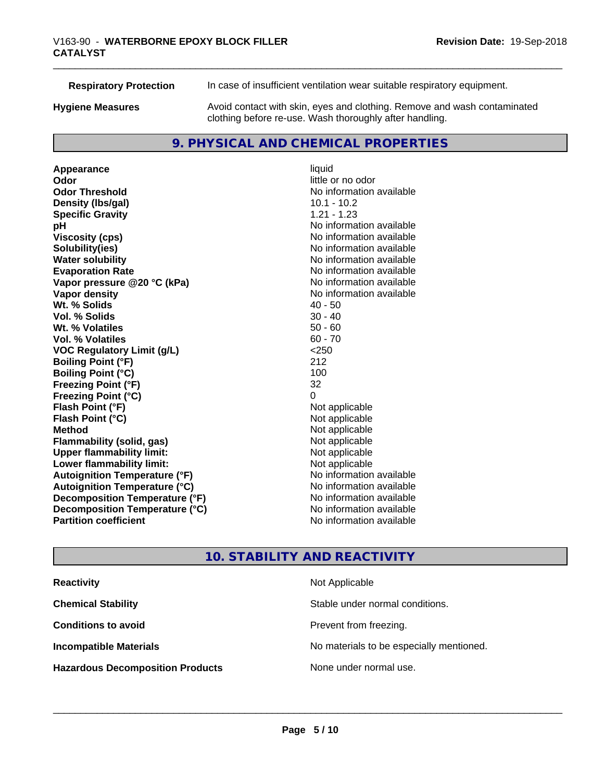**Respiratory Protection** In case of insufficient ventilation wear suitable respiratory equipment. **Hygiene Measures** Avoid contact with skin, eyes and clothing. Remove and wash contaminated clothing before re-use. Wash thoroughly after handling.

# **9. PHYSICAL AND CHEMICAL PROPERTIES**

**Appearance** liquid **Odor** little or no odor **Odor Threshold No information available No information available Density (Ibs/gal)** 10.1 - 10.2 **Specific Gravity** 1.21 - 1.23 **pH** No information available **Viscosity (cps)** No information available **Solubility(ies)**<br> **Solubility**<br> **Water solubility**<br> **Water solubility Evaporation Rate No information available No information available Vapor pressure @20 °C (kPa)** No information available **Vapor density No information available No** information available **Wt. % Solids** 40 - 50 **Vol. % Solids** 30 - 40<br> **Wt. % Volatiles** 30 - 40 **Wt. % Volatiles Vol. % Volatiles** 60 - 70 **VOC Regulatory Limit (g/L)** <250 **Boiling Point (°F)** 212 **Boiling Point (°C)** 100 **Freezing Point (°F)** 32 **Freezing Point (°C)** 0 **Flash Point (°F)**<br> **Flash Point (°C)**<br> **Flash Point (°C)**<br> **C Flash Point (°C) Method** Not applicable **Flammability (solid, gas)** Not applicable<br> **Upper flammability limit:** Not applicable **Upper flammability limit: Lower flammability limit:**<br> **Autoignition Temperature (°F)** Not applicable havailable available **Autoignition Temperature (°F) Autoignition Temperature (°C)** No information available **Decomposition Temperature (°F)** No information available **Decomposition Temperature (°C)** No information available **Partition coefficient Contract Contract Contract Contract Contract Contract Contract Contract Contract Contract Contract Contract Contract Contract Contract Contract Contract Contract Contract Contract Contract Contract** 

**No information available** 

# **10. STABILITY AND REACTIVITY**

| <b>Reactivity</b>                       | Not Applicable                           |
|-----------------------------------------|------------------------------------------|
| <b>Chemical Stability</b>               | Stable under normal conditions.          |
| <b>Conditions to avoid</b>              | Prevent from freezing.                   |
| <b>Incompatible Materials</b>           | No materials to be especially mentioned. |
| <b>Hazardous Decomposition Products</b> | None under normal use.                   |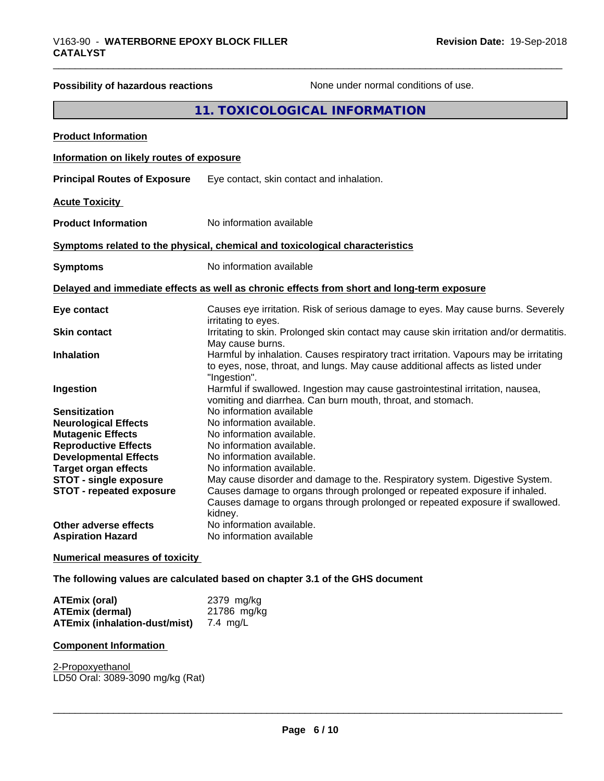# **Possibility of hazardous reactions** None under normal conditions of use.

# **11. TOXICOLOGICAL INFORMATION**

| <b>Product Information</b>                                       |                                                                                                                                                                                                                                                      |
|------------------------------------------------------------------|------------------------------------------------------------------------------------------------------------------------------------------------------------------------------------------------------------------------------------------------------|
| Information on likely routes of exposure                         |                                                                                                                                                                                                                                                      |
| <b>Principal Routes of Exposure</b>                              | Eye contact, skin contact and inhalation.                                                                                                                                                                                                            |
| <b>Acute Toxicity</b>                                            |                                                                                                                                                                                                                                                      |
| <b>Product Information</b>                                       | No information available                                                                                                                                                                                                                             |
|                                                                  | Symptoms related to the physical, chemical and toxicological characteristics                                                                                                                                                                         |
| <b>Symptoms</b>                                                  | No information available                                                                                                                                                                                                                             |
|                                                                  | Delayed and immediate effects as well as chronic effects from short and long-term exposure                                                                                                                                                           |
| Eye contact                                                      | Causes eye irritation. Risk of serious damage to eyes. May cause burns. Severely<br>irritating to eyes.                                                                                                                                              |
| <b>Skin contact</b>                                              | Irritating to skin. Prolonged skin contact may cause skin irritation and/or dermatitis.<br>May cause burns.                                                                                                                                          |
| <b>Inhalation</b>                                                | Harmful by inhalation. Causes respiratory tract irritation. Vapours may be irritating<br>to eyes, nose, throat, and lungs. May cause additional affects as listed under<br>"Ingestion".                                                              |
| Ingestion                                                        | Harmful if swallowed. Ingestion may cause gastrointestinal irritation, nausea,<br>vomiting and diarrhea. Can burn mouth, throat, and stomach.                                                                                                        |
| <b>Sensitization</b>                                             | No information available                                                                                                                                                                                                                             |
| <b>Neurological Effects</b>                                      | No information available.                                                                                                                                                                                                                            |
| <b>Mutagenic Effects</b>                                         | No information available.                                                                                                                                                                                                                            |
| <b>Reproductive Effects</b>                                      | No information available.                                                                                                                                                                                                                            |
| <b>Developmental Effects</b>                                     | No information available.                                                                                                                                                                                                                            |
| <b>Target organ effects</b>                                      | No information available.                                                                                                                                                                                                                            |
| <b>STOT - single exposure</b><br><b>STOT - repeated exposure</b> | May cause disorder and damage to the. Respiratory system. Digestive System.<br>Causes damage to organs through prolonged or repeated exposure if inhaled.<br>Causes damage to organs through prolonged or repeated exposure if swallowed.<br>kidney. |
| Other adverse effects<br><b>Aspiration Hazard</b>                | No information available.<br>No information available                                                                                                                                                                                                |
| <b>Numerical measures of toxicity</b>                            |                                                                                                                                                                                                                                                      |

**The following values are calculated based on chapter 3.1 of the GHS document**

| <b>ATEmix (oral)</b>                          | 2379 mg/kg  |
|-----------------------------------------------|-------------|
| <b>ATEmix (dermal)</b>                        | 21786 mg/kg |
| <b>ATEmix (inhalation-dust/mist)</b> 7.4 mg/L |             |

#### **Component Information**

2-Propoxyethanol \_\_\_\_\_\_\_\_\_\_\_\_\_\_\_\_\_\_\_\_\_\_\_\_\_\_\_\_\_\_\_\_\_\_\_\_\_\_\_\_\_\_\_\_\_\_\_\_\_\_\_\_\_\_\_\_\_\_\_\_\_\_\_\_\_\_\_\_\_\_\_\_\_\_\_\_\_\_\_\_\_\_\_\_\_\_\_\_\_\_\_\_\_ LD50 Oral: 3089-3090 mg/kg (Rat)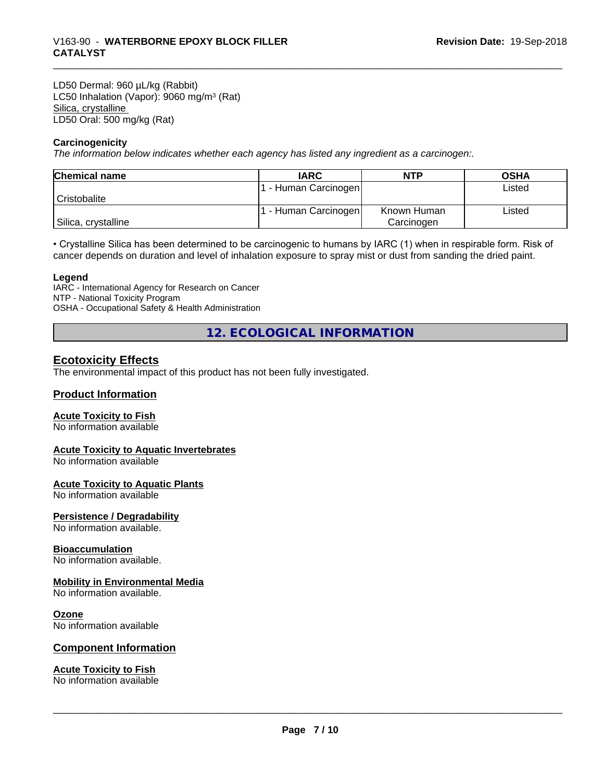LD50 Dermal: 960 µL/kg (Rabbit) LC50 Inhalation (Vapor): 9060 mg/m<sup>3</sup> (Rat) Silica, crystalline LD50 Oral: 500 mg/kg (Rat)

#### **Carcinogenicity**

*The information below indicateswhether each agency has listed any ingredient as a carcinogen:.*

| <b>Chemical name</b> | <b>IARC</b>        | <b>NTP</b>  | <b>OSHA</b> |
|----------------------|--------------------|-------------|-------------|
|                      | - Human Carcinogen |             | Listed      |
| Cristobalite         |                    |             |             |
|                      | - Human Carcinogen | Known Human | Listed      |
| Silica, crystalline  |                    | Carcinogen  |             |

• Crystalline Silica has been determined to be carcinogenic to humans by IARC (1) when in respirable form. Risk of cancer depends on duration and level of inhalation exposure to spray mist or dust from sanding the dried paint.

#### **Legend**

IARC - International Agency for Research on Cancer NTP - National Toxicity Program OSHA - Occupational Safety & Health Administration

**12. ECOLOGICAL INFORMATION**

#### **Ecotoxicity Effects**

The environmental impact of this product has not been fully investigated.

#### **Product Information**

#### **Acute Toxicity to Fish**

No information available

#### **Acute Toxicity to Aquatic Invertebrates**

No information available

#### **Acute Toxicity to Aquatic Plants**

No information available

#### **Persistence / Degradability**

No information available.

#### **Bioaccumulation**

No information available.

#### **Mobility in Environmental Media**

No information available.

#### **Ozone**

No information available

#### **Component Information**

#### **Acute Toxicity to Fish**

No information available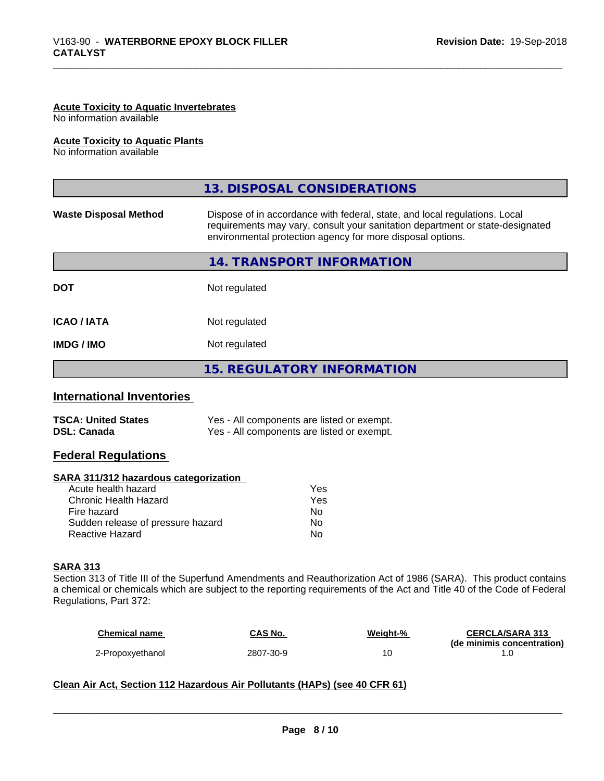#### **Acute Toxicity to Aquatic Invertebrates**

No information available

#### **Acute Toxicity to Aquatic Plants**

No information available

|                              | 13. DISPOSAL CONSIDERATIONS                                                                                                                                                                                               |  |
|------------------------------|---------------------------------------------------------------------------------------------------------------------------------------------------------------------------------------------------------------------------|--|
| <b>Waste Disposal Method</b> | Dispose of in accordance with federal, state, and local regulations. Local<br>requirements may vary, consult your sanitation department or state-designated<br>environmental protection agency for more disposal options. |  |
|                              | 14. TRANSPORT INFORMATION                                                                                                                                                                                                 |  |
| <b>DOT</b>                   | Not regulated                                                                                                                                                                                                             |  |
| <b>ICAO / IATA</b>           | Not regulated                                                                                                                                                                                                             |  |
| <b>IMDG/IMO</b>              | Not regulated                                                                                                                                                                                                             |  |
|                              | 15. REGULATORY INFORMATION                                                                                                                                                                                                |  |

#### **International Inventories**

| <b>TSCA: United States</b> | Yes - All components are listed or exempt. |
|----------------------------|--------------------------------------------|
| <b>DSL: Canada</b>         | Yes - All components are listed or exempt. |

### **Federal Regulations**

#### **SARA 311/312 hazardous categorization**

| Yes |
|-----|
| Yes |
| N٥  |
| Nο  |
| N٥  |
|     |

#### **SARA 313**

Section 313 of Title III of the Superfund Amendments and Reauthorization Act of 1986 (SARA). This product contains a chemical or chemicals which are subject to the reporting requirements of the Act and Title 40 of the Code of Federal Regulations, Part 372:

| <b>Chemical name</b> | CAS No.   | Weight-% | <b>CERCLA/SARA 313</b>     |
|----------------------|-----------|----------|----------------------------|
|                      |           |          | (de minimis concentration) |
| 2-Propoxyethanol     | 2807-30-9 |          |                            |

 $\overline{\phantom{a}}$  ,  $\overline{\phantom{a}}$  ,  $\overline{\phantom{a}}$  ,  $\overline{\phantom{a}}$  ,  $\overline{\phantom{a}}$  ,  $\overline{\phantom{a}}$  ,  $\overline{\phantom{a}}$  ,  $\overline{\phantom{a}}$  ,  $\overline{\phantom{a}}$  ,  $\overline{\phantom{a}}$  ,  $\overline{\phantom{a}}$  ,  $\overline{\phantom{a}}$  ,  $\overline{\phantom{a}}$  ,  $\overline{\phantom{a}}$  ,  $\overline{\phantom{a}}$  ,  $\overline{\phantom{a}}$ 

#### **Clean Air Act,Section 112 Hazardous Air Pollutants (HAPs) (see 40 CFR 61)**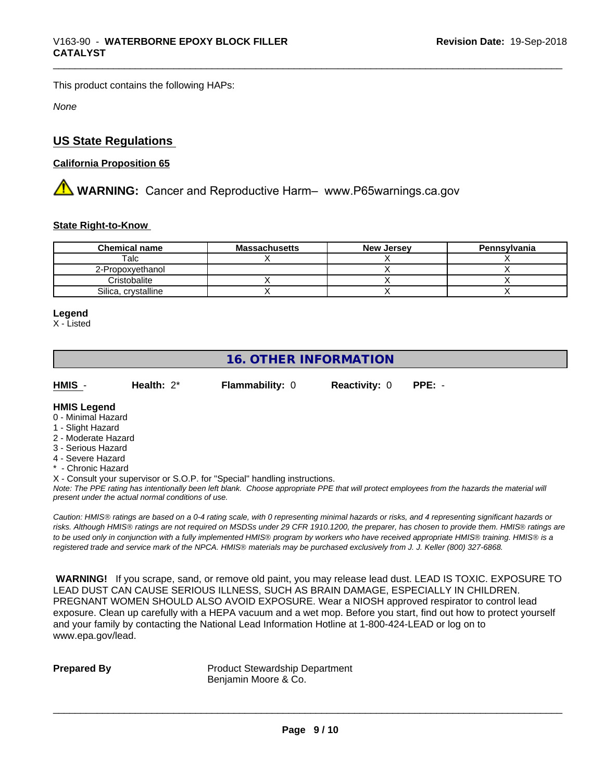This product contains the following HAPs:

*None*

# **US State Regulations**

### **California Proposition 65**

**AN** WARNING: Cancer and Reproductive Harm– www.P65warnings.ca.gov

#### **State Right-to-Know**

| <b>Chemical name</b> | <b>Massachusetts</b> | <b>New Jersey</b> | Pennsylvania |
|----------------------|----------------------|-------------------|--------------|
| Talc                 |                      |                   |              |
| 2-Propoxyethanol     |                      |                   |              |
| Cristobalite         |                      |                   |              |
| Silica, crystalline  |                      |                   |              |

#### **Legend**

X - Listed

# **16. OTHER INFORMATION**

| HMIS | Health: $2^*$ | <b>Flammability: 0</b> | <b>Reactivity: 0 PPE: -</b> |  |
|------|---------------|------------------------|-----------------------------|--|

#### **HMIS Legend**

- 0 Minimal Hazard
- 1 Slight Hazard
- 2 Moderate Hazard
- 3 Serious Hazard
- 4 Severe Hazard
- \* Chronic Hazard
- X Consult your supervisor or S.O.P. for "Special" handling instructions.

*Note: The PPE rating has intentionally been left blank. Choose appropriate PPE that will protect employees from the hazards the material will present under the actual normal conditions of use.*

*Caution: HMISÒ ratings are based on a 0-4 rating scale, with 0 representing minimal hazards or risks, and 4 representing significant hazards or risks. Although HMISÒ ratings are not required on MSDSs under 29 CFR 1910.1200, the preparer, has chosen to provide them. HMISÒ ratings are to be used only in conjunction with a fully implemented HMISÒ program by workers who have received appropriate HMISÒ training. HMISÒ is a registered trade and service mark of the NPCA. HMISÒ materials may be purchased exclusively from J. J. Keller (800) 327-6868.*

 **WARNING!** If you scrape, sand, or remove old paint, you may release lead dust. LEAD IS TOXIC. EXPOSURE TO LEAD DUST CAN CAUSE SERIOUS ILLNESS, SUCH AS BRAIN DAMAGE, ESPECIALLY IN CHILDREN. PREGNANT WOMEN SHOULD ALSO AVOID EXPOSURE.Wear a NIOSH approved respirator to control lead exposure. Clean up carefully with a HEPA vacuum and a wet mop. Before you start, find out how to protect yourself and your family by contacting the National Lead Information Hotline at 1-800-424-LEAD or log on to www.epa.gov/lead.

**Prepared By** Product Stewardship Department Benjamin Moore & Co.